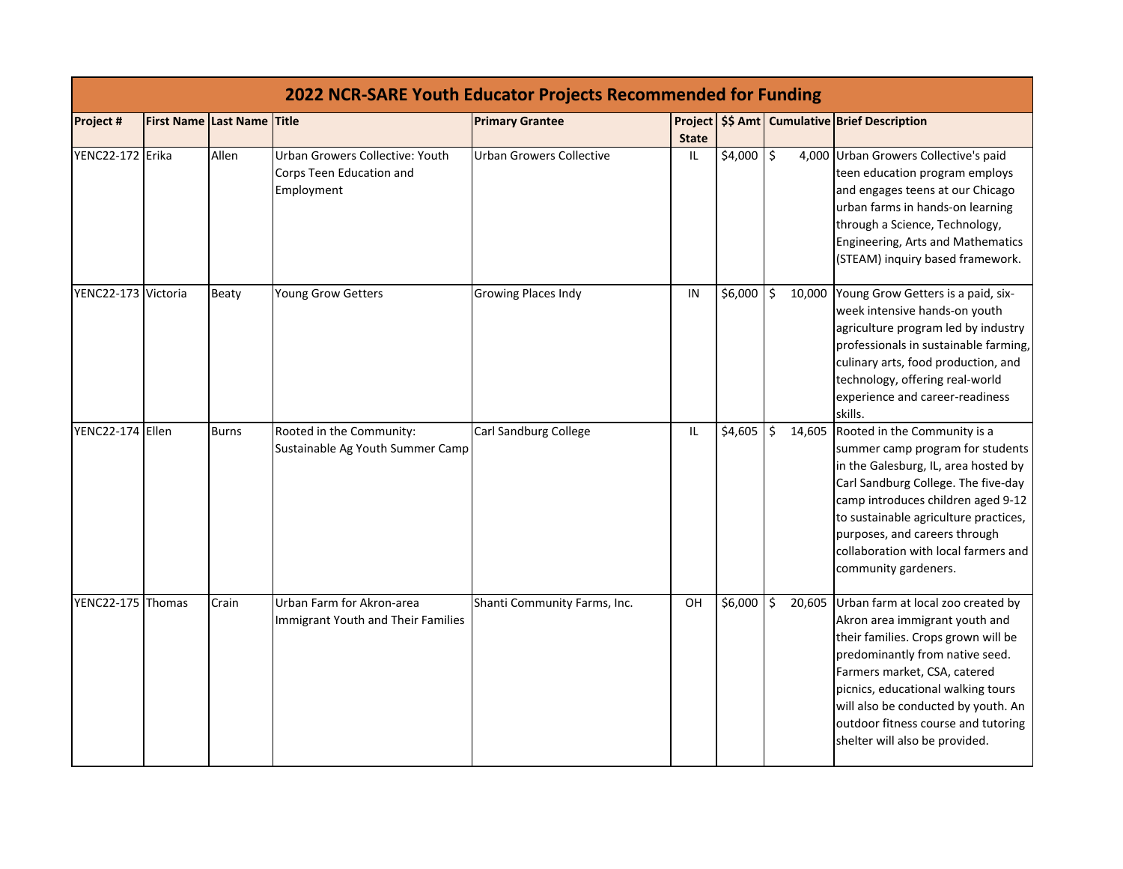|                     | <b>2022 NCR-SARE Youth Educator Projects Recommended for Funding</b> |                            |                                                                           |                                 |              |             |              |                                                                                                                                                                                                                                                                                                                                             |  |  |
|---------------------|----------------------------------------------------------------------|----------------------------|---------------------------------------------------------------------------|---------------------------------|--------------|-------------|--------------|---------------------------------------------------------------------------------------------------------------------------------------------------------------------------------------------------------------------------------------------------------------------------------------------------------------------------------------------|--|--|
| Project #           |                                                                      | First Name Last Name Title |                                                                           | <b>Primary Grantee</b>          | <b>State</b> |             |              | Project   \$\$ Amt   Cumulative   Brief Description                                                                                                                                                                                                                                                                                         |  |  |
| YENC22-172 Erika    |                                                                      | Allen                      | Urban Growers Collective: Youth<br>Corps Teen Education and<br>Employment | <b>Urban Growers Collective</b> | IL           | $$4,000$ \$ |              | 4,000 Urban Growers Collective's paid<br>teen education program employs<br>and engages teens at our Chicago<br>urban farms in hands-on learning<br>through a Science, Technology,<br>Engineering, Arts and Mathematics<br>(STEAM) inquiry based framework.                                                                                  |  |  |
| YENC22-173 Victoria |                                                                      | Beaty                      | Young Grow Getters                                                        | <b>Growing Places Indy</b>      | IN           | \$6,000     | \$<br>10,000 | Young Grow Getters is a paid, six-<br>week intensive hands-on youth<br>agriculture program led by industry<br>professionals in sustainable farming,<br>culinary arts, food production, and<br>technology, offering real-world<br>experience and career-readiness<br>skills.                                                                 |  |  |
| YENC22-174 Ellen    |                                                                      | <b>Burns</b>               | Rooted in the Community:<br>Sustainable Ag Youth Summer Camp              | Carl Sandburg College           | IL           | \$4,605     | \$           | 14,605 Rooted in the Community is a<br>summer camp program for students<br>in the Galesburg, IL, area hosted by<br>Carl Sandburg College. The five-day<br>camp introduces children aged 9-12<br>to sustainable agriculture practices,<br>purposes, and careers through<br>collaboration with local farmers and<br>community gardeners.      |  |  |
| YENC22-175 Thomas   |                                                                      | Crain                      | Urban Farm for Akron-area<br>Immigrant Youth and Their Families           | Shanti Community Farms, Inc.    | OH           | \$6,000     | Ŝ.           | 20,605 Urban farm at local zoo created by<br>Akron area immigrant youth and<br>their families. Crops grown will be<br>predominantly from native seed.<br>Farmers market, CSA, catered<br>picnics, educational walking tours<br>will also be conducted by youth. An<br>outdoor fitness course and tutoring<br>shelter will also be provided. |  |  |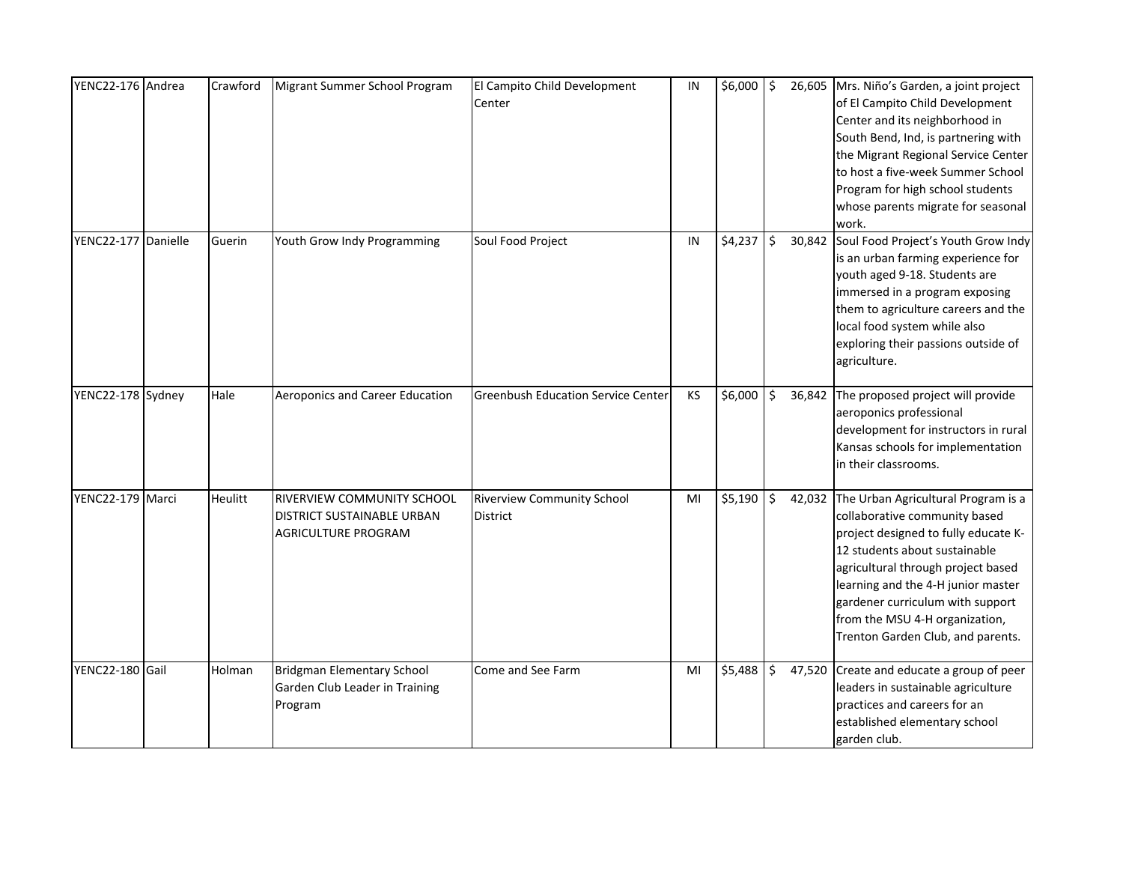| YENC22-176 Andrea   | Crawford | Migrant Summer School Program                                                          | El Campito Child Development<br>Center        | IN | $$6,000$ \$ |              | 26,605 Mrs. Niño's Garden, a joint project<br>of El Campito Child Development<br>Center and its neighborhood in<br>South Bend, Ind, is partnering with<br>the Migrant Regional Service Center<br>to host a five-week Summer School<br>Program for high school students<br>whose parents migrate for seasonal<br>work.                       |
|---------------------|----------|----------------------------------------------------------------------------------------|-----------------------------------------------|----|-------------|--------------|---------------------------------------------------------------------------------------------------------------------------------------------------------------------------------------------------------------------------------------------------------------------------------------------------------------------------------------------|
| YENC22-177 Danielle | Guerin   | Youth Grow Indy Programming                                                            | Soul Food Project                             | IN | $$4,237$ \$ | 30,842       | Soul Food Project's Youth Grow Indy<br>is an urban farming experience for<br>youth aged 9-18. Students are<br>immersed in a program exposing<br>them to agriculture careers and the<br>local food system while also<br>exploring their passions outside of<br>agriculture.                                                                  |
| YENC22-178 Sydney   | Hale     | Aeroponics and Career Education                                                        | <b>Greenbush Education Service Center</b>     | KS | \$6,000     | \$<br>36,842 | The proposed project will provide<br>aeroponics professional<br>development for instructors in rural<br>Kansas schools for implementation<br>in their classrooms.                                                                                                                                                                           |
| YENC22-179 Marci    | Heulitt  | RIVERVIEW COMMUNITY SCHOOL<br>DISTRICT SUSTAINABLE URBAN<br><b>AGRICULTURE PROGRAM</b> | <b>Riverview Community School</b><br>District | MI | $$5,190$ \$ |              | 42,032 The Urban Agricultural Program is a<br>collaborative community based<br>project designed to fully educate K-<br>12 students about sustainable<br>agricultural through project based<br>learning and the 4-H junior master<br>gardener curriculum with support<br>from the MSU 4-H organization,<br>Trenton Garden Club, and parents. |
| YENC22-180 Gail     | Holman   | <b>Bridgman Elementary School</b><br>Garden Club Leader in Training<br>Program         | Come and See Farm                             | MI | \$5,488     | \$           | 47,520 Create and educate a group of peer<br>leaders in sustainable agriculture<br>practices and careers for an<br>established elementary school<br>garden club.                                                                                                                                                                            |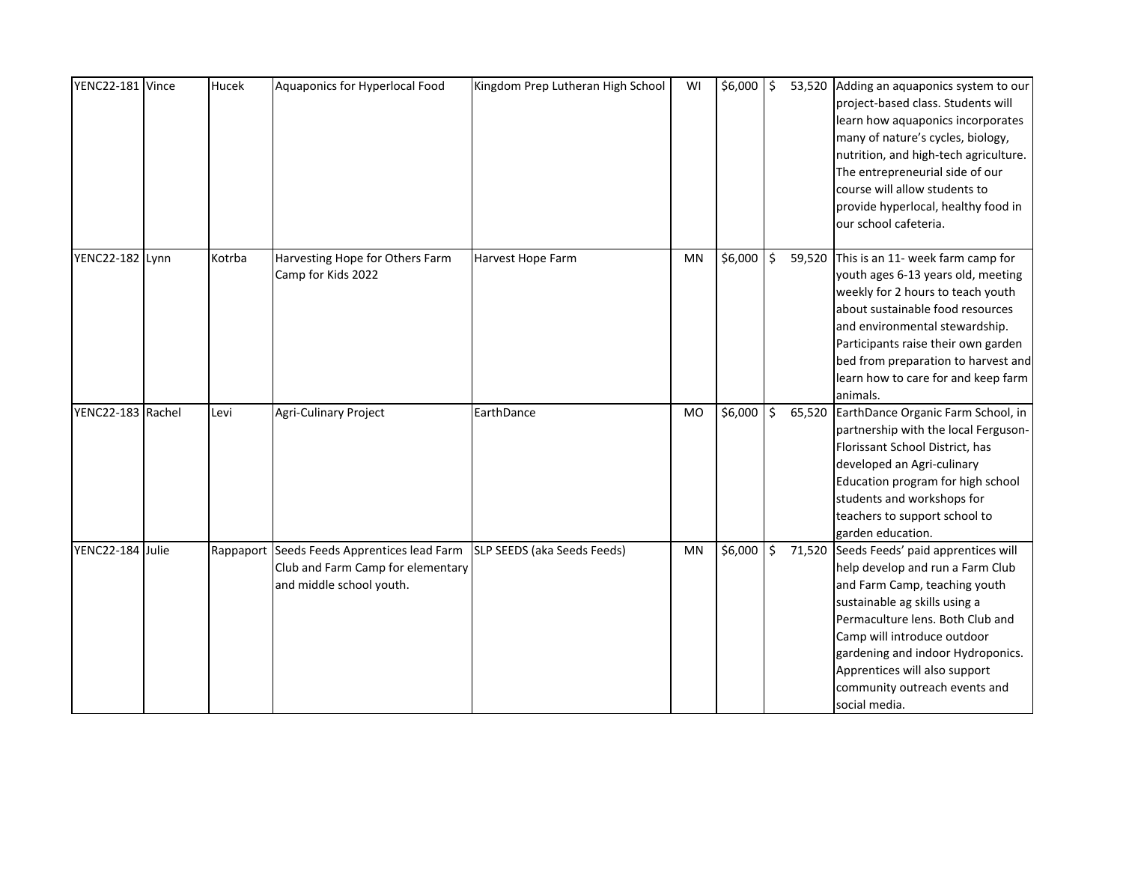| YENC22-181 Vince  | Hucek  | Aquaponics for Hyperlocal Food                                                                               | Kingdom Prep Lutheran High School | WI        | $$6,000$ \$ |         | 53,520 Adding an aquaponics system to our<br>project-based class. Students will<br>learn how aquaponics incorporates<br>many of nature's cycles, biology,<br>nutrition, and high-tech agriculture.<br>The entrepreneurial side of our<br>course will allow students to<br>provide hyperlocal, healthy food in<br>our school cafeteria.     |
|-------------------|--------|--------------------------------------------------------------------------------------------------------------|-----------------------------------|-----------|-------------|---------|--------------------------------------------------------------------------------------------------------------------------------------------------------------------------------------------------------------------------------------------------------------------------------------------------------------------------------------------|
| YENC22-182 Lynn   | Kotrba | Harvesting Hope for Others Farm<br>Camp for Kids 2022                                                        | Harvest Hope Farm                 | <b>MN</b> | \$6,000     | ا \$    | 59,520 This is an 11- week farm camp for<br>youth ages 6-13 years old, meeting<br>weekly for 2 hours to teach youth<br>about sustainable food resources<br>and environmental stewardship.<br>Participants raise their own garden<br>bed from preparation to harvest and<br>learn how to care for and keep farm<br>animals.                 |
| YENC22-183 Rachel | Levi   | Agri-Culinary Project                                                                                        | EarthDance                        | <b>MO</b> | \$6,000     | \$      | 65,520 EarthDance Organic Farm School, in<br>partnership with the local Ferguson-<br>Florissant School District, has<br>developed an Agri-culinary<br>Education program for high school<br>students and workshops for<br>teachers to support school to<br>garden education.                                                                |
| YENC22-184 Julie  |        | Rappaport Seeds Feeds Apprentices lead Farm<br>Club and Farm Camp for elementary<br>and middle school youth. | SLP SEEDS (aka Seeds Feeds)       | <b>MN</b> | \$6,000     | $\zeta$ | 71,520 Seeds Feeds' paid apprentices will<br>help develop and run a Farm Club<br>and Farm Camp, teaching youth<br>sustainable ag skills using a<br>Permaculture lens. Both Club and<br>Camp will introduce outdoor<br>gardening and indoor Hydroponics.<br>Apprentices will also support<br>community outreach events and<br>social media. |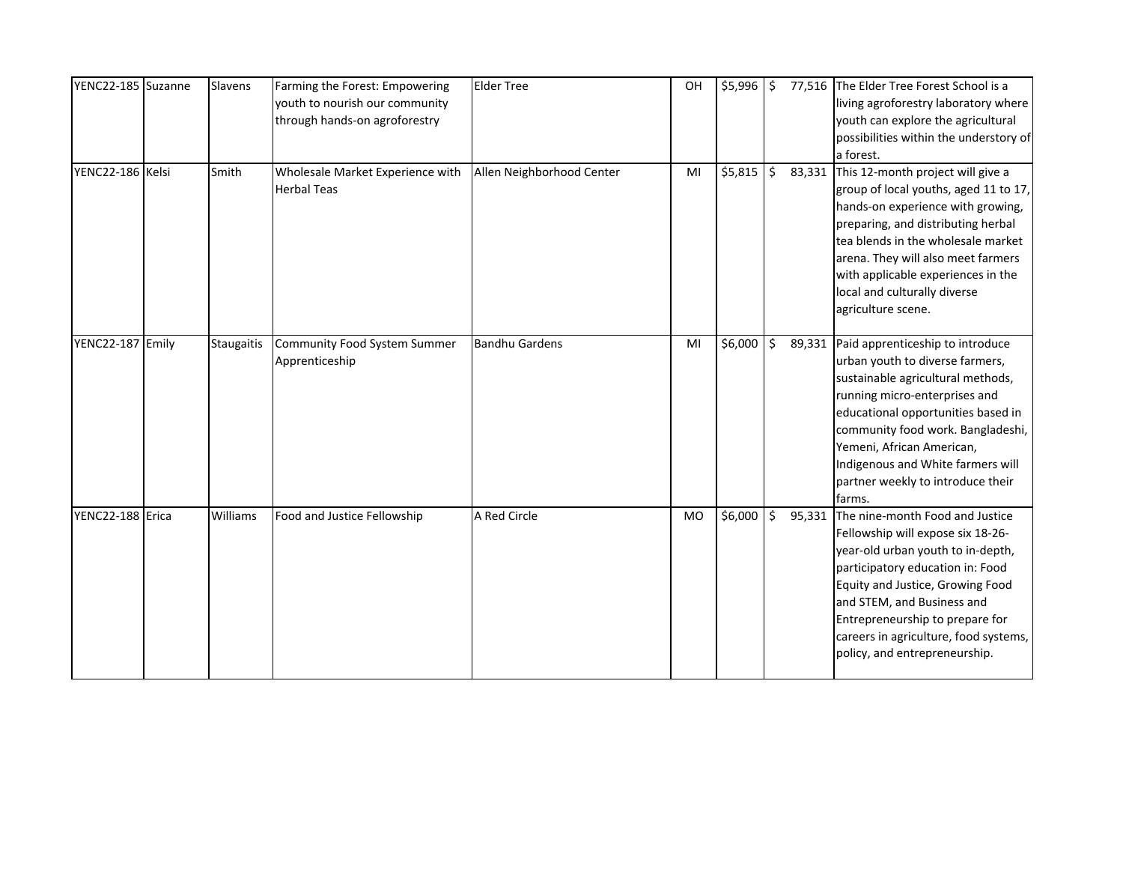| YENC22-185 Suzanne | Slavens           | Farming the Forest: Empowering<br>youth to nourish our community<br>through hands-on agroforestry | <b>Elder Tree</b>         | OH        | $$5,996$ \$ |                     | 77,516 The Elder Tree Forest School is a<br>living agroforestry laboratory where<br>youth can explore the agricultural<br>possibilities within the understory of<br>a forest.                                                                                                                                                                |
|--------------------|-------------------|---------------------------------------------------------------------------------------------------|---------------------------|-----------|-------------|---------------------|----------------------------------------------------------------------------------------------------------------------------------------------------------------------------------------------------------------------------------------------------------------------------------------------------------------------------------------------|
| YENC22-186 Kelsi   | Smith             | Wholesale Market Experience with<br><b>Herbal Teas</b>                                            | Allen Neighborhood Center | MI        | \$5,815     | $\ddot{\mathsf{S}}$ | 83,331 This 12-month project will give a<br>group of local youths, aged 11 to 17,<br>hands-on experience with growing,<br>preparing, and distributing herbal<br>tea blends in the wholesale market<br>arena. They will also meet farmers<br>with applicable experiences in the<br>local and culturally diverse<br>agriculture scene.         |
| YENC22-187 Emily   | <b>Staugaitis</b> | Community Food System Summer<br>Apprenticeship                                                    | <b>Bandhu Gardens</b>     | MI        | $$6,000$ \$ |                     | 89,331 Paid apprenticeship to introduce<br>urban youth to diverse farmers,<br>sustainable agricultural methods,<br>running micro-enterprises and<br>educational opportunities based in<br>community food work. Bangladeshi,<br>Yemeni, African American,<br>Indigenous and White farmers will<br>partner weekly to introduce their<br>farms. |
| YENC22-188 Erica   | Williams          | Food and Justice Fellowship                                                                       | A Red Circle              | <b>MO</b> | $$6,000$ \$ |                     | 95,331 The nine-month Food and Justice<br>Fellowship will expose six 18-26-<br>year-old urban youth to in-depth,<br>participatory education in: Food<br>Equity and Justice, Growing Food<br>and STEM, and Business and<br>Entrepreneurship to prepare for<br>careers in agriculture, food systems,<br>policy, and entrepreneurship.          |